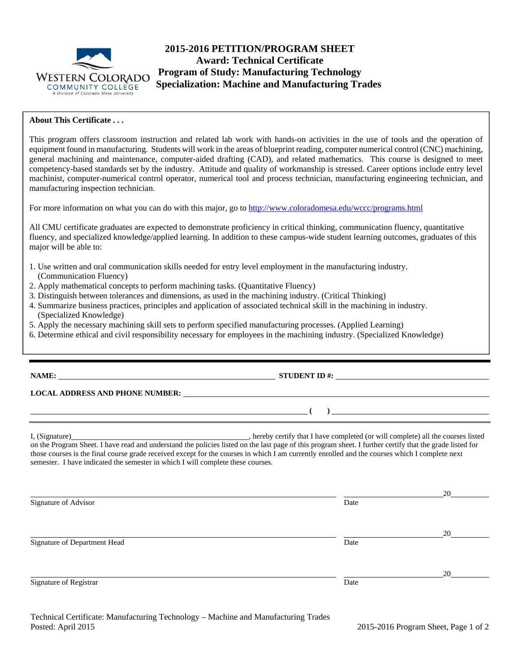

# **2015-2016 PETITION/PROGRAM SHEET Award: Technical Certificate Program of Study: Manufacturing Technology WESTERN COLORADO Trugram of Study: Manufacturing Technology**<br>COMMUNITY COLLEGE **Specialization: Machine and Manufacturing Trades**

### **About This Certificate . . .**

This program offers classroom instruction and related lab work with hands-on activities in the use of tools and the operation of equipment found in manufacturing. Students will work in the areas of blueprint reading, computer numerical control (CNC) machining, general machining and maintenance, computer-aided drafting (CAD), and related mathematics. This course is designed to meet competency-based standards set by the industry. Attitude and quality of workmanship is stressed. Career options include entry level machinist, computer-numerical control operator, numerical tool and process technician, manufacturing engineering technician, and manufacturing inspection technician.

For more information on what you can do with this major, go to http://www.coloradomesa.edu/wccc/programs.html

All CMU certificate graduates are expected to demonstrate proficiency in critical thinking, communication fluency, quantitative fluency, and specialized knowledge/applied learning. In addition to these campus-wide student learning outcomes, graduates of this major will be able to:

- 1. Use written and oral communication skills needed for entry level employment in the manufacturing industry. (Communication Fluency)
- 2. Apply mathematical concepts to perform machining tasks. (Quantitative Fluency)
- 3. Distinguish between tolerances and dimensions, as used in the machining industry. (Critical Thinking)
- 4. Summarize business practices, principles and application of associated technical skill in the machining in industry. (Specialized Knowledge)
- 5. Apply the necessary machining skill sets to perform specified manufacturing processes. (Applied Learning)
- 6. Determine ethical and civil responsibility necessary for employees in the machining industry. (Specialized Knowledge)

|                                                                                                                                                                                                                                                                                                                                                                                               | STUDENT ID #: $\frac{1}{2}$ $\frac{1}{2}$ $\frac{1}{2}$ $\frac{1}{2}$ $\frac{1}{2}$ $\frac{1}{2}$ $\frac{1}{2}$ $\frac{1}{2}$ $\frac{1}{2}$ $\frac{1}{2}$ $\frac{1}{2}$ $\frac{1}{2}$ $\frac{1}{2}$ $\frac{1}{2}$ $\frac{1}{2}$ $\frac{1}{2}$ $\frac{1}{2}$ $\frac{1}{2}$ $\frac{1}{2}$ $\frac{1}{2}$ $\frac{1}{2$                                                                          |    |  |  |  |  |
|-----------------------------------------------------------------------------------------------------------------------------------------------------------------------------------------------------------------------------------------------------------------------------------------------------------------------------------------------------------------------------------------------|---------------------------------------------------------------------------------------------------------------------------------------------------------------------------------------------------------------------------------------------------------------------------------------------------------------------------------------------------------------------------------------------|----|--|--|--|--|
|                                                                                                                                                                                                                                                                                                                                                                                               | LOCAL ADDRESS AND PHONE NUMBER:                                                                                                                                                                                                                                                                                                                                                             |    |  |  |  |  |
| <u> 1989 - Johann Barn, mars et al. (b. 1989)</u>                                                                                                                                                                                                                                                                                                                                             | $\begin{picture}(20,10) \put(0,0){\dashbox{0.5}(10,0){ }} \put(15,0){\circle{10}} \put(15,0){\circle{10}} \put(15,0){\circle{10}} \put(15,0){\circle{10}} \put(15,0){\circle{10}} \put(15,0){\circle{10}} \put(15,0){\circle{10}} \put(15,0){\circle{10}} \put(15,0){\circle{10}} \put(15,0){\circle{10}} \put(15,0){\circle{10}} \put(15,0){\circle{10}} \put(15,0){\circle{10}} \put(15,$ |    |  |  |  |  |
| on the Program Sheet. I have read and understand the policies listed on the last page of this program sheet. I further certify that the grade listed for<br>those courses is the final course grade received except for the courses in which I am currently enrolled and the courses which I complete next<br>semester. I have indicated the semester in which I will complete these courses. |                                                                                                                                                                                                                                                                                                                                                                                             |    |  |  |  |  |
| Signature of Advisor                                                                                                                                                                                                                                                                                                                                                                          | Date                                                                                                                                                                                                                                                                                                                                                                                        | 20 |  |  |  |  |
| Signature of Department Head                                                                                                                                                                                                                                                                                                                                                                  | Date                                                                                                                                                                                                                                                                                                                                                                                        | 20 |  |  |  |  |
|                                                                                                                                                                                                                                                                                                                                                                                               |                                                                                                                                                                                                                                                                                                                                                                                             |    |  |  |  |  |

Signature of Registrar Date and Security and Security and Security and Security and Security and Date Date and Date

<u>20</u>